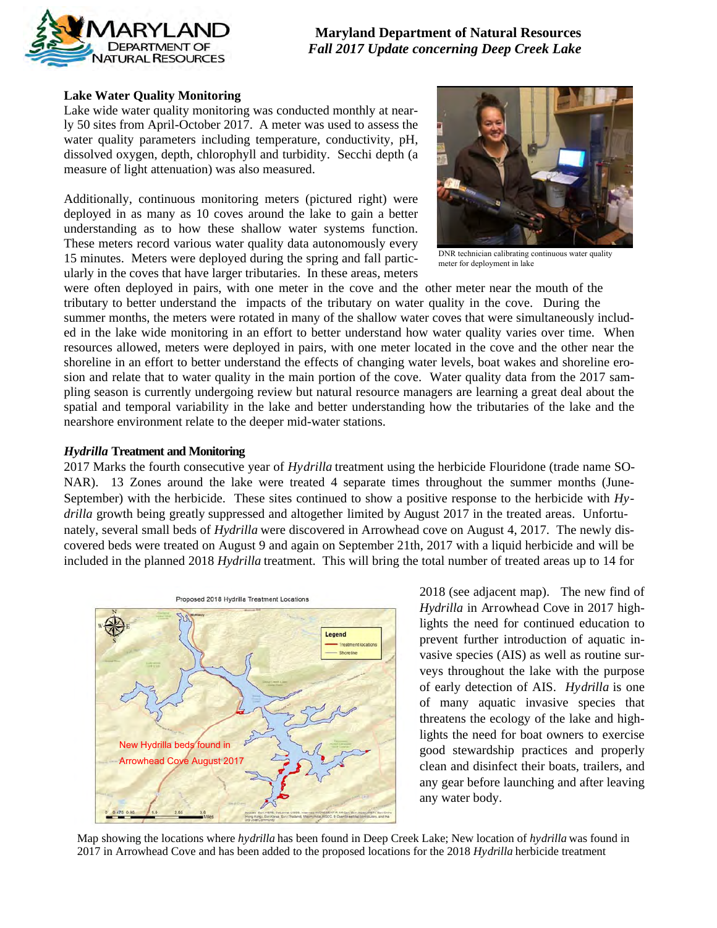

**Maryland Department of Natural Resources**  *Fall 2017 Update concerning Deep Creek Lake* 

#### **Lake Water Quality Monitoring**

Lake wide water quality monitoring was conducted monthly at nearly 50 sites from April-October 2017. A meter was used to assess the water quality parameters including temperature, conductivity, pH, dissolved oxygen, depth, chlorophyll and turbidity. Secchi depth (a measure of light attenuation) was also measured.

Additionally, continuous monitoring meters (pictured right) were deployed in as many as 10 coves around the lake to gain a better understanding as to how these shallow water systems function. These meters record various water quality data autonomously every 15 minutes. Meters were deployed during the spring and fall particularly in the coves that have larger tributaries. In these areas, meters



DNR technician calibrating continuous water quality meter for deployment in lake

were often deployed in pairs, with one meter in the cove and the other meter near the mouth of the tributary to better understand the impacts of the tributary on water quality in the cove. During the summer months, the meters were rotated in many of the shallow water coves that were simultaneously included in the lake wide monitoring in an effort to better understand how water quality varies over time. When resources allowed, meters were deployed in pairs, with one meter located in the cove and the other near the shoreline in an effort to better understand the effects of changing water levels, boat wakes and shoreline erosion and relate that to water quality in the main portion of the cove. Water quality data from the 2017 sampling season is currently undergoing review but natural resource managers are learning a great deal about the spatial and temporal variability in the lake and better understanding how the tributaries of the lake and the nearshore environment relate to the deeper mid-water stations.

#### *Hydrilla* **Treatment and Monitoring**

2017 Marks the fourth consecutive year of *Hydrilla* treatment using the herbicide Flouridone (trade name SO-NAR). 13 Zones around the lake were treated 4 separate times throughout the summer months (June-September) with the herbicide. These sites continued to show a positive response to the herbicide with *Hydrilla* growth being greatly suppressed and altogether limited by August 2017 in the treated areas. Unfortunately, several small beds of *Hydrilla* were discovered in Arrowhead cove on August 4, 2017. The newly discovered beds were treated on August 9 and again on September 21th, 2017 with a liquid herbicide and will be included in the planned 2018 *Hydrilla* treatment. This will bring the total number of treated areas up to 14 for



2018 (see adjacent map). The new find of *Hydrilla* in Arrowhead Cove in 2017 highlights the need for continued education to prevent further introduction of aquatic invasive species (AIS) as well as routine surveys throughout the lake with the purpose of early detection of AIS. *Hydrilla* is one of many aquatic invasive species that threatens the ecology of the lake and highlights the need for boat owners to exercise good stewardship practices and properly clean and disinfect their boats, trailers, and any gear before launching and after leaving any water body.

Map showing the locations where *hydrilla* has been found in Deep Creek Lake; New location of *hydrilla* was found in 2017 in Arrowhead Cove and has been added to the proposed locations for the 2018 *Hydrilla* herbicide treatment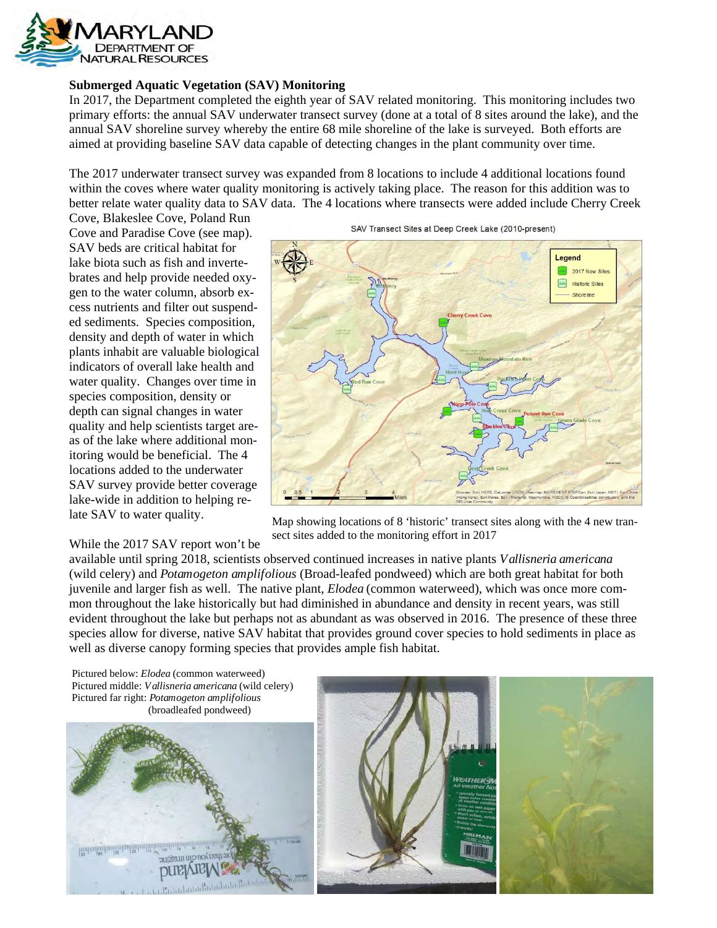

## **Submerged Aquatic Vegetation (SAV) Monitoring**

In 2017, the Department completed the eighth year of SAV related monitoring. This monitoring includes two primary efforts: the annual SAV underwater transect survey (done at a total of 8 sites around the lake), and the annual SAV shoreline survey whereby the entire 68 mile shoreline of the lake is surveyed. Both efforts are aimed at providing baseline SAV data capable of detecting changes in the plant community over time.

The 2017 underwater transect survey was expanded from 8 locations to include 4 additional locations found within the coves where water quality monitoring is actively taking place. The reason for this addition was to better relate water quality data to SAV data. The 4 locations where transects were added include Cherry Creek

Cove, Blakeslee Cove, Poland Run Cove and Paradise Cove (see map). SAV beds are critical habitat for lake biota such as fish and invertebrates and help provide needed oxygen to the water column, absorb excess nutrients and filter out suspended sediments. Species composition, density and depth of water in which plants inhabit are valuable biological indicators of overall lake health and water quality. Changes over time in species composition, density or depth can signal changes in water quality and help scientists target areas of the lake where additional monitoring would be beneficial. The 4 locations added to the underwater SAV survey provide better coverage lake-wide in addition to helping relate SAV to water quality.

## While the 2017 SAV report won't be

SAV Transect Sites at Deep Creek Lake (2010-present)



Map showing locations of 8 'historic' transect sites along with the 4 new transect sites added to the monitoring effort in 2017

available until spring 2018, scientists observed continued increases in native plants *Vallisneria americana* (wild celery) and *Potamogeton amplifolious* (Broad-leafed pondweed) which are both great habitat for both juvenile and larger fish as well. The native plant, *Elodea* (common waterweed), which was once more common throughout the lake historically but had diminished in abundance and density in recent years, was still evident throughout the lake but perhaps not as abundant as was observed in 2016. The presence of these three species allow for diverse, native SAV habitat that provides ground cover species to hold sediments in place as well as diverse canopy forming species that provides ample fish habitat.

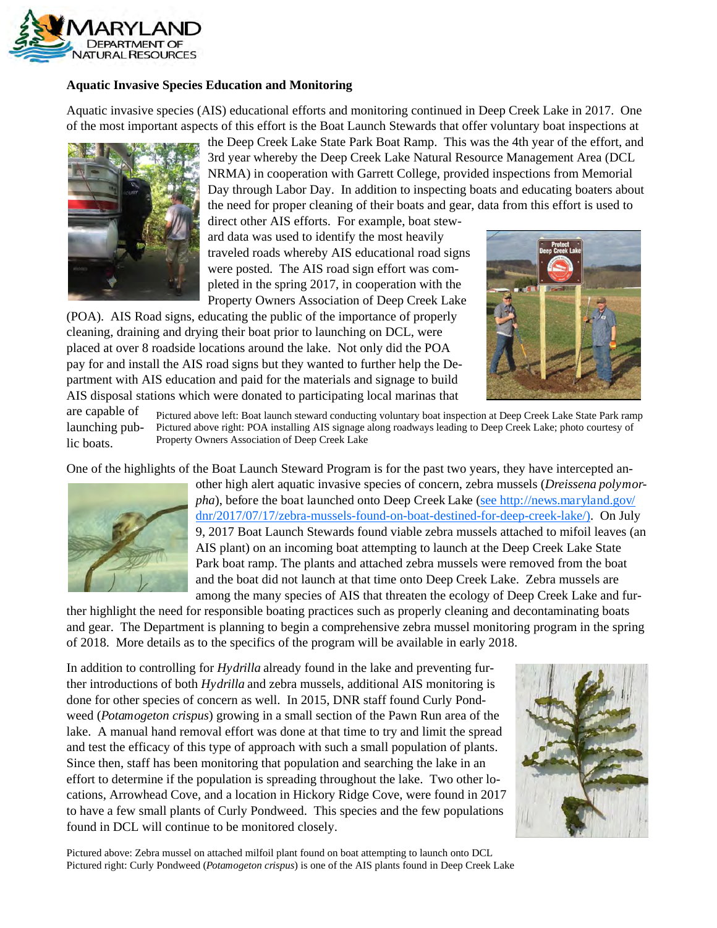

## **Aquatic Invasive Species Education and Monitoring**

Aquatic invasive species (AIS) educational efforts and monitoring continued in Deep Creek Lake in 2017. One of the most important aspects of this effort is the Boat Launch Stewards that offer voluntary boat inspections at



the Deep Creek Lake State Park Boat Ramp. This was the 4th year of the effort, and 3rd year whereby the Deep Creek Lake Natural Resource Management Area (DCL NRMA) in cooperation with Garrett College, provided inspections from Memorial Day through Labor Day. In addition to inspecting boats and educating boaters about the need for proper cleaning of their boats and gear, data from this effort is used to

direct other AIS efforts. For example, boat steward data was used to identify the most heavily traveled roads whereby AIS educational road signs were posted. The AIS road sign effort was completed in the spring 2017, in cooperation with the Property Owners Association of Deep Creek Lake

(POA). AIS Road signs, educating the public of the importance of properly cleaning, draining and drying their boat prior to launching on DCL, were placed at over 8 roadside locations around the lake. Not only did the POA pay for and install the AIS road signs but they wanted to further help the Department with AIS education and paid for the materials and signage to build AIS disposal stations which were donated to participating local marinas that



are capable of launching public boats. Pictured above left: Boat launch steward conducting voluntary boat inspection at Deep Creek Lake State Park ramp Pictured above right: POA installing AIS signage along roadways leading to Deep Creek Lake; photo courtesy of Property Owners Association of Deep Creek Lake

One of the highlights of the Boat Launch Steward Program is for the past two years, they have intercepted an-



other high alert aquatic invasive species of concern, zebra mussels (*Dreissena polymorpha*), before the boat launched onto Deep Creek Lake (see http://news.maryland.gov/ dnr/2017/07/17/zebra-mussels-found-on-boat-destined-for-deep-creek-lake/). On July 9, 2017 Boat Launch Stewards found viable zebra mussels attached to mifoil leaves (an AIS plant) on an incoming boat attempting to launch at the Deep Creek Lake State Park boat ramp. The plants and attached zebra mussels were removed from the boat and the boat did not launch at that time onto Deep Creek Lake. Zebra mussels are among the many species of AIS that threaten the ecology of Deep Creek Lake and fur-

ther highlight the need for responsible boating practices such as properly cleaning and decontaminating boats and gear. The Department is planning to begin a comprehensive zebra mussel monitoring program in the spring of 2018. More details as to the specifics of the program will be available in early 2018.

In addition to controlling for *Hydrilla* already found in the lake and preventing further introductions of both *Hydrilla* and zebra mussels, additional AIS monitoring is done for other species of concern as well. In 2015, DNR staff found Curly Pondweed (*Potamogeton crispus*) growing in a small section of the Pawn Run area of the lake. A manual hand removal effort was done at that time to try and limit the spread and test the efficacy of this type of approach with such a small population of plants. Since then, staff has been monitoring that population and searching the lake in an effort to determine if the population is spreading throughout the lake. Two other locations, Arrowhead Cove, and a location in Hickory Ridge Cove, were found in 2017 to have a few small plants of Curly Pondweed. This species and the few populations found in DCL will continue to be monitored closely.



Pictured above: Zebra mussel on attached milfoil plant found on boat attempting to launch onto DCL Pictured right: Curly Pondweed (*Potamogeton crispus*) is one of the AIS plants found in Deep Creek Lake